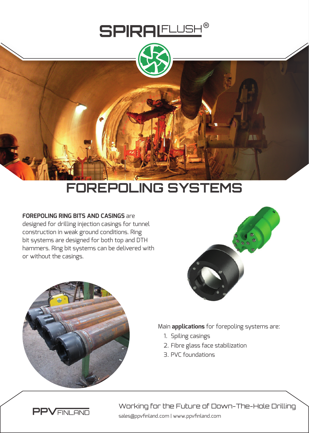

## **FOREPOLING SYSTEMS**

## **FOREPOLING RING BITS AND CASINGS** are

designed for drilling injection casings for tunnel construction in weak ground conditions. Ring bit systems are designed for both top and DTH hammers. Ring bit systems can be delivered with or without the casings.





Main **applications** for forepoling systems are:

- 1. Spiling casings
- 2. Fibre glass face stabilization
- 3. PVC foundations



sales@ppvfinland.com | www.ppvfinland.com Working for the Future of Down-The-Hole Drilling